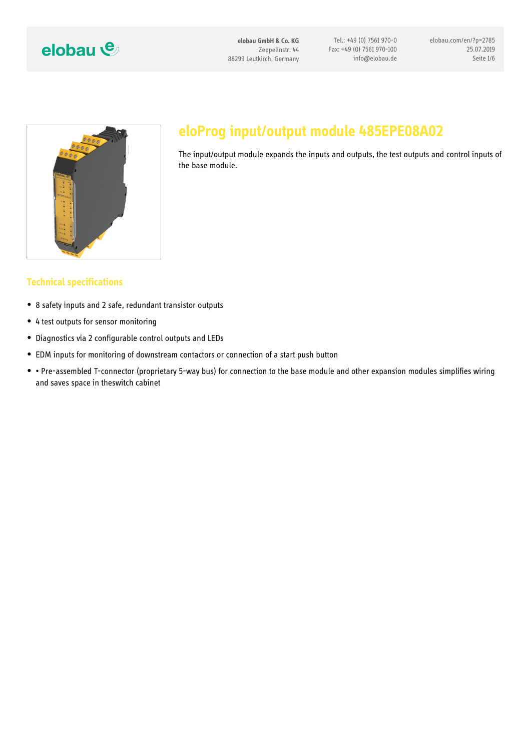

# eloProg input/output module 48

The input/output module expands the inputs and output the base module.

#### Technical specifications

- 8 safety inputs and 2 safe, redundant transistor outputs
- 4 test outputs for sensor monitoring
- Diagnostics via 2 configurable control outputs and LEDs
- EDM inputs for monitoring of downstream contactors or connection of a start
- . " Pre-assembled T-connector (proprietary 5-way bus) for connection to the ba and saves space in theswitch cabinet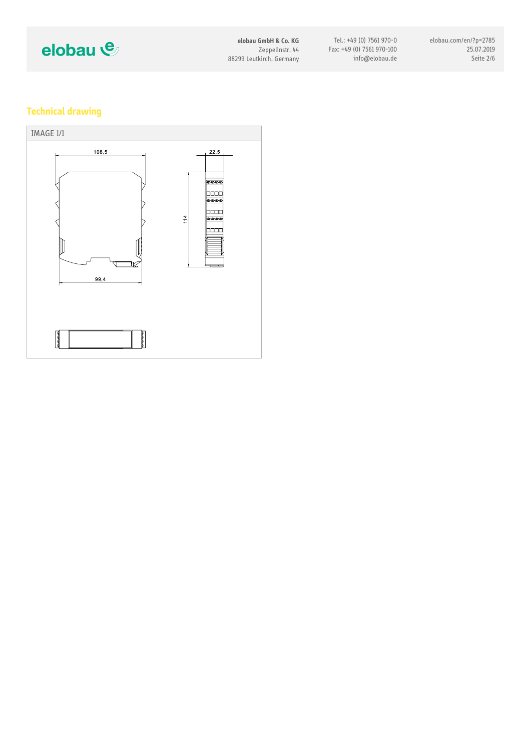

# Technical drawing

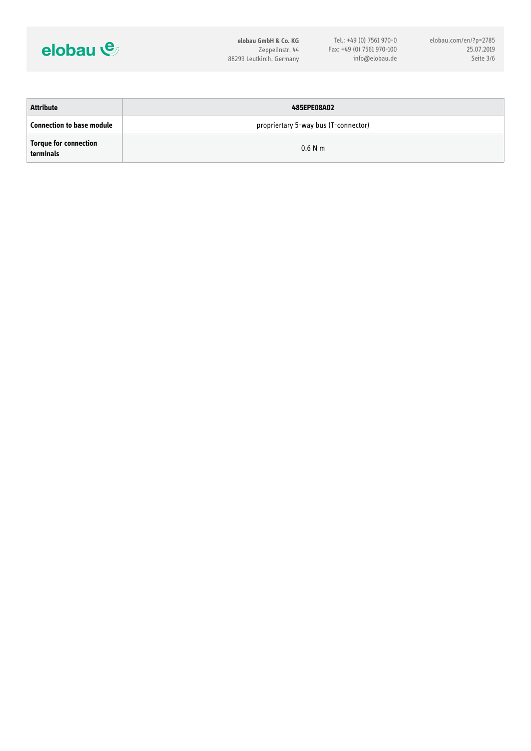

| 485EPE08A02                          |
|--------------------------------------|
| propriertary 5-way bus (T-connector) |
| $0.6$ N m                            |
|                                      |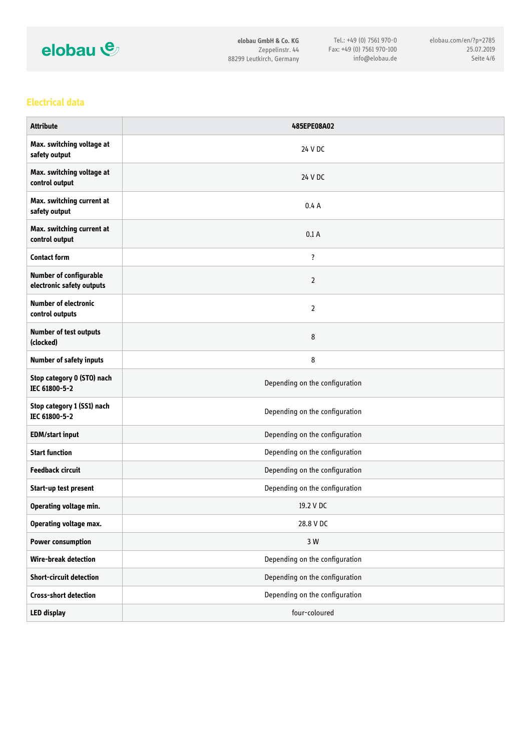

#### Electrical data

| Attribute                                             | 485EPE08A02                    |
|-------------------------------------------------------|--------------------------------|
| Max. switching voltage at<br>safety output            | 24 V DC                        |
| Max. switching<br>control output                      | 24 V DC                        |
| Max. switching current at<br>safety output            | 0.4A                           |
| Max. switching<br>control output                      | 0.1 A                          |
| Contact form                                          | $\ddot{?}$                     |
| Number of confi<br>electronic safet                   | 2                              |
| Number of electronic<br>control outputs               | 2                              |
| Number of test<br>$(c \mid c \mid c \mid c \mid e d)$ | 8                              |
| Number of safety inputs                               | 8                              |
| Stop category 0<br>IEC 61800-5-2                      | Depending on the configuration |
| Stop category 1 (SS1) nach<br>IEC 61800-5-2           | Depending on the configuration |
| EDM/start input                                       | Depending on the configuration |
| Start function                                        | Depending on the configuration |
| Feedback circui                                       | Depending on the configuration |
| Start-up test present                                 | Depending on the configuration |
| Operating volta                                       | 19.2 V DC                      |
| Operating voltage max.                                | 28.8 V DC                      |
| Power consumpt                                        | 3 W                            |
| Wire-break detection                                  | Depending on the configuration |
| Short-circuit de                                      | Depending on the configuration |
| Cross-short detection                                 | Depending on the configuration |
| LED display                                           | four-coloured                  |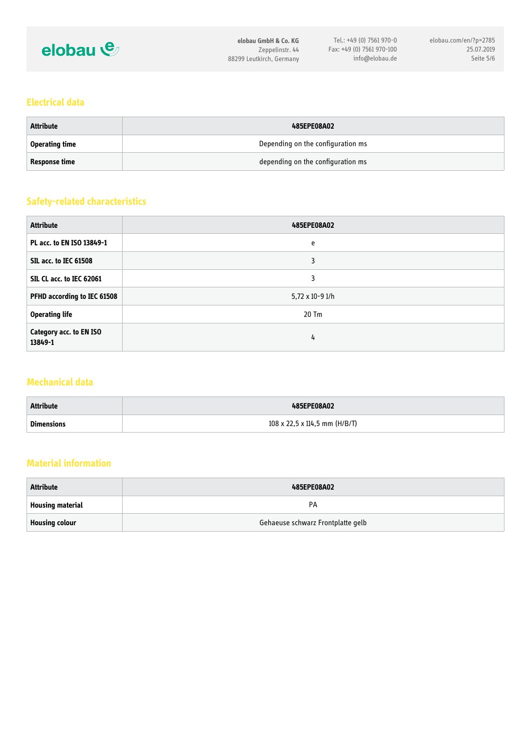

#### Electrical data

| Attribute      | 485EPE08A02                       |
|----------------|-----------------------------------|
| Operating time | Depending on the configuration ms |
| Response time  | depending on the configuration ms |

#### Safety-related characteristics

| Attribute                       | 485EPE08A02              |
|---------------------------------|--------------------------|
| PL acc. to EN ISO 13849-1       | e                        |
| SIL acc. to IEC                 | 3                        |
| SIL CL acc. to IEC 62061        | 3                        |
| PFHD according                  | $5,72 \times 10 - 9$ 1/h |
| Operating life                  | $20$ Tm                  |
| Category acc. to<br>$13849 - 1$ | 4                        |

#### Mechanical data

| Attribute  | 485EPE08A02                     |
|------------|---------------------------------|
| Dimensions | 108 x 22,5 x 114,5 mm $(H/B/T)$ |

# Material information

| Attribute        | 485EPE08A02                       |
|------------------|-----------------------------------|
| Housing material | P A                               |
| Housing colour   | Gehaeuse schwarz Frontplatte gelb |